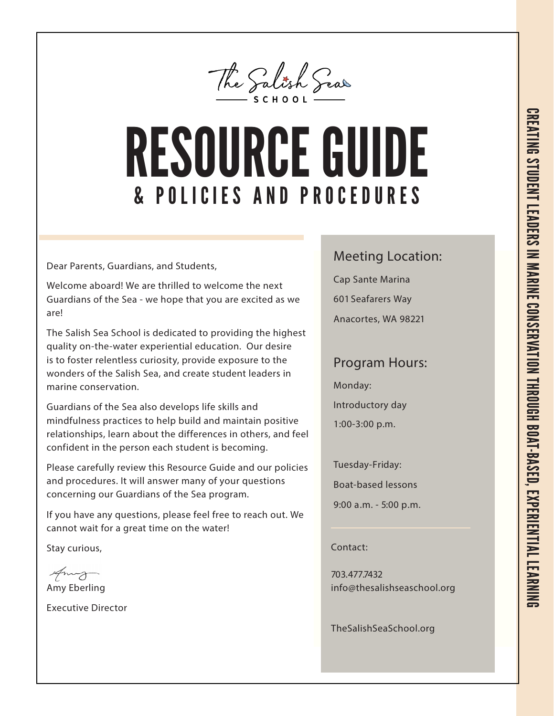

## & P O L I C I E S A N D P R O C E D U R E S RESOURCE GUIDE

Dear Parents, Guardians, and Students,

Welcome aboard! We are thrilled to welcome the next Guardians of the Sea - we hope that you are excited as we are!

The Salish Sea School is dedicated to providing the highest quality on-the-water experiential education. Our desire is to foster relentless curiosity, provide exposure to the wonders of the Salish Sea, and create student leaders in marine conservation.

Guardians of the Sea also develops life skills and mindfulness practices to help build and maintain positive relationships, learn about the differences in others, and feel confident in the person each student is becoming.

Please carefully review this Resource Guide and our policies and procedures. It will answer many of your questions concerning our Guardians of the Sea program.

If you have any questions, please feel free to reach out. We cannot wait for a great time on the water!

Stay curious,

Amy Eberling

Executive Director

#### Meeting Location:

Cap Sante Marina 601 Seafarers Way

Anacortes, WA 98221

#### Program Hours:

Monday:

Introductory day

1:00-3:00 p.m.

Tuesday-Friday:

Boat-based lessons

9:00 a.m. - 5:00 p.m.

Contact:

703.477.7432 info@thesalishseaschool.org

TheSalishSeaSchool.org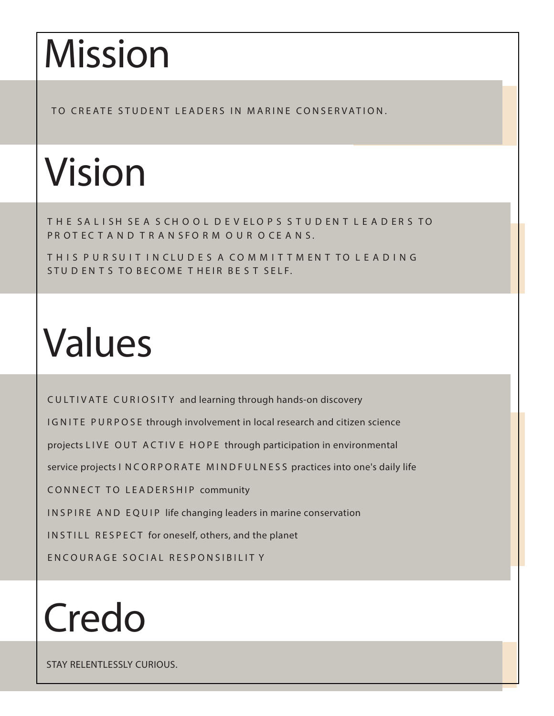## Mission

TO CREATE STUDENT LEADERS IN MARINE CONSERVATION.

## Vision

THE SALISH SEA S CHOOL DEVELOPS S TUD ENT LEADERS TO PR OT ECTAND TRANSFORM OUR OCEANS.

THIS PURSUIT IN CLUDES A COMMITTMENT TO LEADING STUD EN T S TO BECOME THEIR BE S T SELF.

## Values

CULTIV ATE CURIOSITY and learning through hands-on discovery

IGNITE PURPOSE through involvement in local research and citizen science

projects LIVE OUT ACTIV E HOPE through participation in environmental

service projects I NCORPORATE MINDFULNESS practices into one's daily life

CONNECT TO LEADERSHIP community

INSPIRE AND EQUIP life changing leaders in marine conservation

INSTILL RESPECT for oneself, others, and the planet

EN COURAGE SOCIAL RESPONSIBILITY

## Credo

STAY RELENTLESSLY CURIOUS.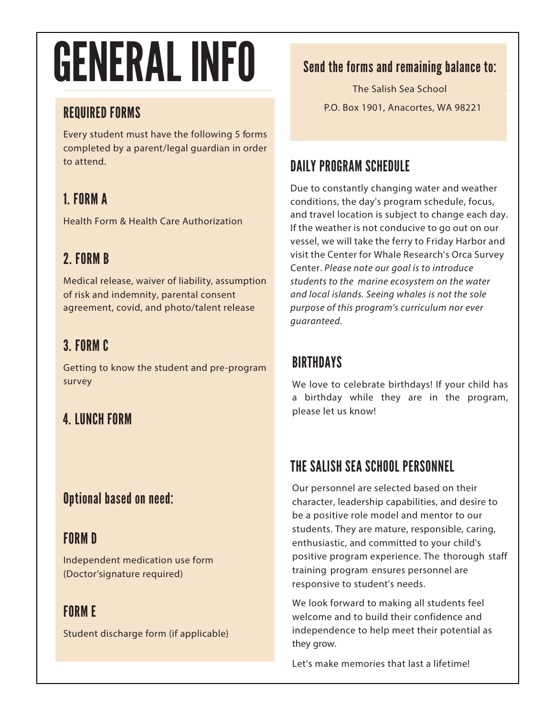# GENERAL INFO

### REQUIRED FORMS

Every student must have the following 5 forms completed by a parent/legal guardian in order to attend.

## 1. FORM A

Health Form & Health Care Authorization

## 2. FORM B

Medical release, waiver of liability, assumption of risk and indemnity, parental consent agreement, covid, and photo/talent release

## 3. FORM C

Getting to know the student and pre-program survey

### 4. LUNCH FORM

### Optional based on need:

### FORM D

Independent medication use form (Doctor'signature required)

## FORM E

Student discharge form (if applicable)

### Send the forms and remaining balance to:

The Salish Sea School P.O. Box 1901, Anacortes, WA 98221

### DAILY PROGRAM SCHEDULE

Due to constantly changing water and weather conditions, the day's program schedule, focus, and travel location is subject to change each day. If the weather is not conducive to go out on our vessel, we will take the ferry to Friday Harbor and visit the Center for Whale Research's Orca Survey Center. Please note our goal is to introduce students to the marine ecosystem on the water and local islands. Seeing whales is not the sole purpose of this program's curriculum nor ever guaranteed.

### **BIRTHDAYS**

We love to celebrate birthdays! If your child has a birthday while they are in the program, please let us know!

## THE SALISH SEA SCHOOL PERSONNEL

Our personnel are selected based on their character, leadership capabilities, and desire to be a positive role model and mentor to our students. They are mature, responsible, caring, enthusiastic, and committed to your child's positive program experience. The thorough staff training program ensures personnel are responsive to student's needs.

We look forward to making all students feel welcome and to build their confidence and independence to help meet their potential as they grow.

Let's make memories that last a lifetime!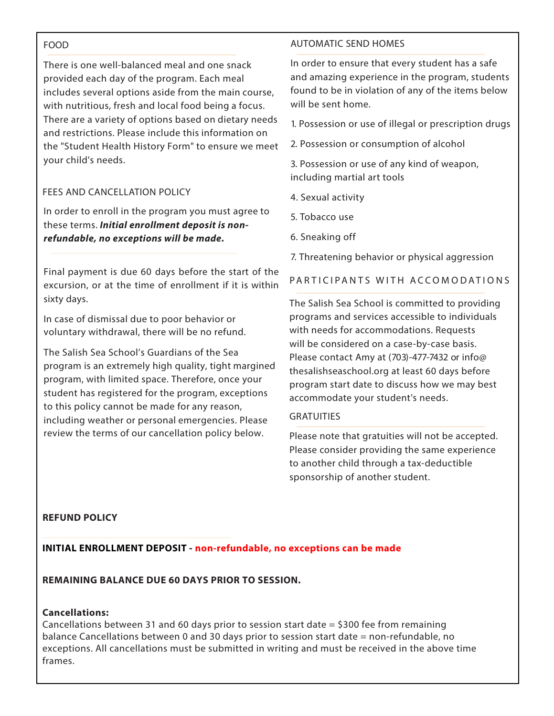#### FOOD

There is one well-balanced meal and one snack provided each day of the program. Each meal includes several options aside from the main course, with nutritious, fresh and local food being a focus. There are a variety of options based on dietary needs and restrictions. Please include this information on the "Student Health History Form" to ensure we meet your child's needs.

#### FEES AND CANCELLATION POLICY

In order to enroll in the program you must agree to these terms. **Initial enrollment deposit is nonrefundable, no exceptions will be made.** 

Final payment is due 60 days before the start of the excursion, or at the time of enrollment if it is within sixty days.

In case of dismissal due to poor behavior or voluntary withdrawal, there will be no refund.

The Salish Sea School's Guardians of the Sea program is an extremely high quality, tight margined program, with limited space. Therefore, once your student has registered for the program, exceptions to this policy cannot be made for any reason, including weather or personal emergencies. Please review the terms of our cancellation policy below.

#### AUTOMATIC SEND HOMES

In order to ensure that every student has a safe and amazing experience in the program, students found to be in violation of any of the items below will be sent home.

1. Possession or use of illegal or prescription drugs

2. Possession or consumption of alcohol

3. Possession or use of any kind of weapon, including martial art tools

- 4. Sexual activity
- 5. Tobacco use
- 6. Sneaking off
- 7. Threatening behavior or physical aggression

PARTICIPANTS WITH ACCOMODATIONS

The Salish Sea School is committed to providing programs and services accessible to individuals with needs for accommodations. Requests will be considered on a case-by-case basis. Please contact Amy at (703)-477-7432 or info@ thesalishseaschool.org at least 60 days before program start date to discuss how we may best accommodate your student's needs.

#### **GRATUITIES**

Please note that gratuities will not be accepted. Please consider providing the same experience to another child through a tax-deductible sponsorship of another student.

#### **REFUND POLICY**

**INITIAL ENROLLMENT DEPOSIT - non-refundable, no exceptions can be made**

**REMAINING BALANCE DUE 60 DAYS PRIOR TO SESSION.** 

#### **Cancellations:**

Cancellations between 31 and 60 days prior to session start date = \$300 fee from remaining balance Cancellations between 0 and 30 days prior to session start date = non-refundable, no exceptions. All cancellations must be submitted in writing and must be received in the above time frames.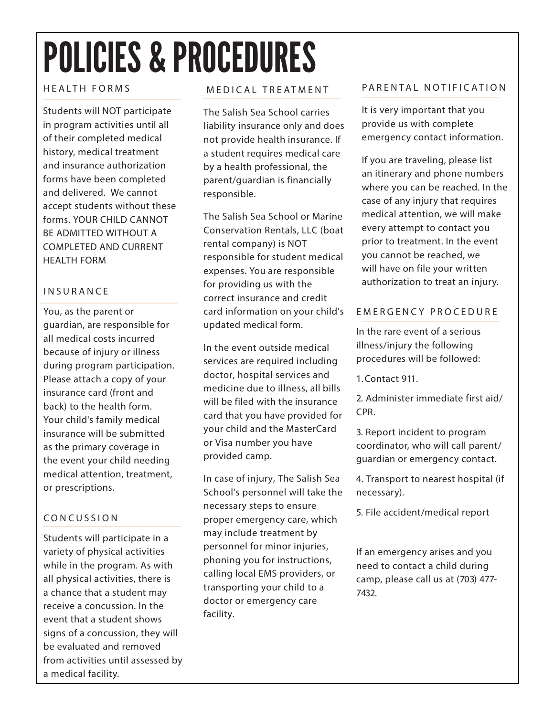## POLICIES & PROCEDURES

#### HEALTH FORMS

Students will NOT participate in program activities until all of their completed medical history, medical treatment and insurance authorization forms have been completed and delivered. We cannot accept students without these forms. YOUR CHILD CANNOT BE ADMITTED WITHOUT A COMPLETED AND CURRENT HEALTH FORM

#### INSURANCE

You, as the parent or guardian, are responsible for all medical costs incurred because of injury or illness during program participation. Please attach a copy of your insurance card (front and back) to the health form. Your child's family medical insurance will be submitted as the primary coverage in the event your child needing medical attention, treatment, or prescriptions.

#### CONCUSSION

Students will participate in a variety of physical activities while in the program. As with all physical activities, there is a chance that a student may receive a concussion. In the event that a student shows signs of a concussion, they will be evaluated and removed from activities until assessed by a medical facility.

#### MEDICAL TREATMENT

The Salish Sea School carries liability insurance only and does not provide health insurance. If a student requires medical care by a health professional, the parent/guardian is financially responsible.

The Salish Sea School or Marine Conservation Rentals, LLC (boat rental company) is NOT responsible for student medical expenses. You are responsible for providing us with the correct insurance and credit card information on your child's updated medical form.

In the event outside medical services are required including doctor, hospital services and medicine due to illness, all bills will be filed with the insurance card that you have provided for your child and the MasterCard or Visa number you have provided camp.

In case of injury, The Salish Sea School's personnel will take the necessary steps to ensure proper emergency care, which may include treatment by personnel for minor injuries, phoning you for instructions, calling local EMS providers, or transporting your child to a doctor or emergency care facility.

#### PARENTAL NOTIFICATION

It is very important that you provide us with complete emergency contact information.

If you are traveling, please list an itinerary and phone numbers where you can be reached. In the case of any injury that requires medical attention, we will make every attempt to contact you prior to treatment. In the event you cannot be reached, we will have on file your written authorization to treat an injury.

#### EMERGENCY PROCEDURE

In the rare event of a serious illness/injury the following procedures will be followed:

1. Contact 911.

2. Administer immediate first aid/ CPR.

3. Report incident to program coordinator, who will call parent/ guardian or emergency contact.

4. Transport to nearest hospital (if necessary).

5. File accident/medical report

If an emergency arises and you need to contact a child during camp, please call us at (703) 477- 7432.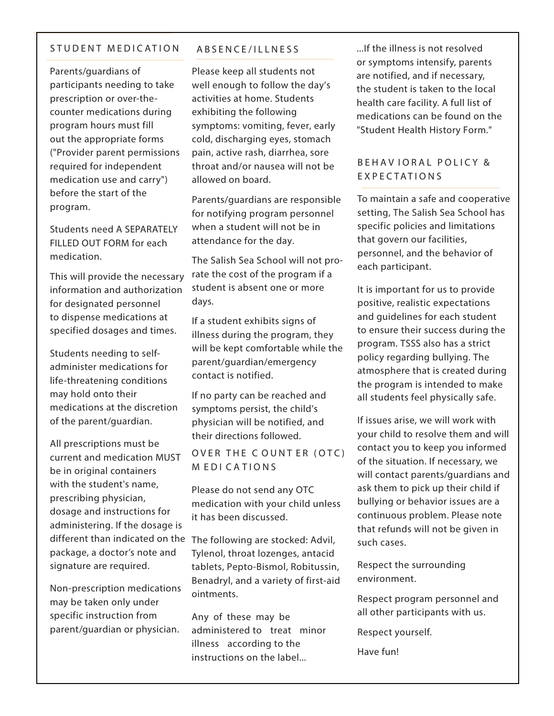#### STUDENT MEDICATION

Parents/guardians of participants needing to take prescription or over-thecounter medications during program hours must fill out the appropriate forms ("Provider parent permissions required for independent medication use and carry") before the start of the program.

Students need A SEPARATELY FILLED OUT FORM for each medication.

This will provide the necessary information and authorization for designated personnel to dispense medications at specified dosages and times.

Students needing to selfadminister medications for life-threatening conditions may hold onto their medications at the discretion of the parent/guardian.

All prescriptions must be current and medication MUST be in original containers with the student's name, prescribing physician, dosage and instructions for administering. If the dosage is different than indicated on the The following are stocked: Advil, package, a doctor's note and signature are required.

Non-prescription medications may be taken only under specific instruction from parent/guardian or physician.

#### ABSENCE/ILLNESS

Please keep all students not well enough to follow the day's activities at home. Students exhibiting the following symptoms: vomiting, fever, early cold, discharging eyes, stomach pain, active rash, diarrhea, sore throat and/or nausea will not be allowed on board.

Parents/guardians are responsible for notifying program personnel when a student will not be in attendance for the day.

The Salish Sea School will not prorate the cost of the program if a student is absent one or more days.

If a student exhibits signs of illness during the program, they will be kept comfortable while the parent/guardian/emergency contact is notified.

If no party can be reached and symptoms persist, the child's physician will be notified, and their directions followed.

OVER THE COUNTER (OTC) M EDI C A TIO NS

Please do not send any OTC medication with your child unless it has been discussed.

Tylenol, throat lozenges, antacid tablets, Pepto-Bismol, Robitussin, Benadryl, and a variety of first-aid ointments.

Any of these may be administered to treat minor illness according to the instructions on the label...

...If the illness is not resolved or symptoms intensify, parents are notified, and if necessary, the student is taken to the local health care facility. A full list of medications can be found on the "Student Health History Form."

#### BEHAVIORAL POLICY & E XPE C TATIONS

To maintain a safe and cooperative setting, The Salish Sea School has specific policies and limitations that govern our facilities, personnel, and the behavior of each participant.

It is important for us to provide positive, realistic expectations and guidelines for each student to ensure their success during the program. TSSS also has a strict policy regarding bullying. The atmosphere that is created during the program is intended to make all students feel physically safe.

If issues arise, we will work with your child to resolve them and will contact you to keep you informed of the situation. If necessary, we will contact parents/guardians and ask them to pick up their child if bullying or behavior issues are a continuous problem. Please note that refunds will not be given in such cases.

Respect the surrounding environment.

Respect program personnel and all other participants with us.

Respect yourself.

Have fun!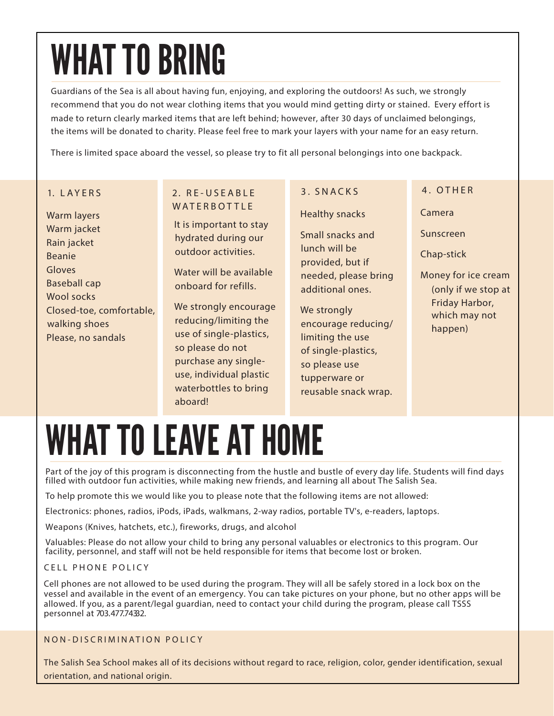## WHAT TO BRING

Guardians of the Sea is all about having fun, enjoying, and exploring the outdoors! As such, we strongly recommend that you do not wear clothing items that you would mind getting dirty or stained. Every effort is made to return clearly marked items that are left behind; however, after 30 days of unclaimed belongings, the items will be donated to charity. Please feel free to mark your layers with your name for an easy return.

There is limited space aboard the vessel, so please try to fit all personal belongings into one backpack.

#### 1. L A Y E R S

• Warm layers • Warm jacket • Rain jacket • Beanie **Gloves** • Baseball cap Wool socks • Closed-toe, comfortable, walking shoes • Please, no sandals

#### 2. R E - U S E A B L E **WATERBOTTLE**

It is important to stay hydrated during our outdoor activities.

Water will be available onboard for refills.

We strongly encourage reducing/limiting the use of single-plastics, so please do not purchase any singleuse, individual plastic waterbottles to bring aboard!

#### 3. SNACK S

• Healthy snacks

• Small snacks and lunch will be provided, but if needed, please bring additional ones.

We strongly encourage reducing/ limiting the use of single-plastics, so please use tupperware or reusable snack wrap.

#### 4. OTHER

Camera

Sunscreen

Chap-stick

Money for ice cream (only if we stop at Friday Harbor, which may not happen)

## WHAT TO LEAVE AT HOME

Part of the joy of this program is disconnecting from the hustle and bustle of every day life. Students will find days filled with outdoor fun activities, while making new friends, and learning all about The Salish Sea.

To help promote this we would like you to please note that the following items are not allowed:

Electronics: phones, radios, iPods, iPads, walkmans, 2-way radios, portable TV's, e-readers, laptops.

Weapons (Knives, hatchets, etc.), fireworks, drugs, and alcohol

Valuables: Please do not allow your child to bring any personal valuables or electronics to this program. Our facility, personnel, and staff will not be held responsible for items that become lost or broken.

#### CELL PHONE POLICY

Cell phones are not allowed to be used during the program. They will all be safely stored in a lock box on the vessel and available in the event of an emergency. You can take pictures on your phone, but no other apps will be allowed. If you, as a parent/legal guardian, need to contact your child during the program, please call TSSS personnel at 703.477.74332.

#### NON-DISCRIMINATION POLICY

The Salish Sea School makes all of its decisions without regard to race, religion, color, gender identification, sexual orientation, and national origin.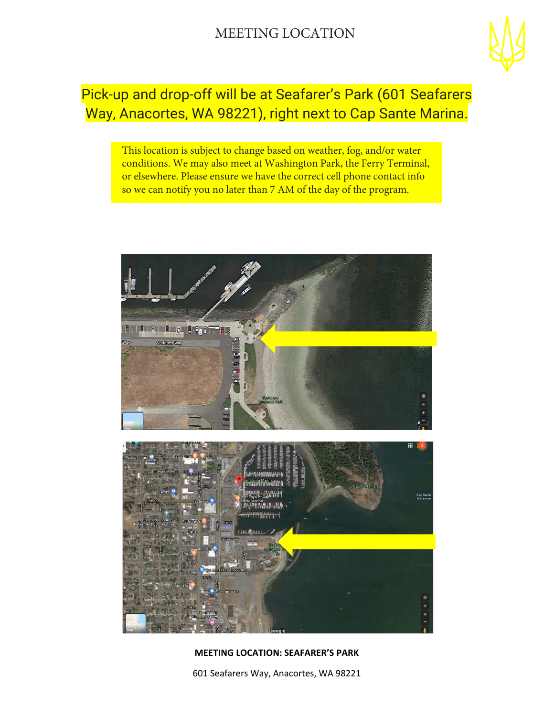

### Pick-up and drop-off will be at Seafarer's Park (601 Seafarers Way, Anacortes, WA 98221), right next to Cap Sante Marina.

This location is subject to change based on weather, fog, and/or water conditions. We may also meet at Washington Park, the Ferry Terminal, or elsewhere. Please ensure we have the correct cell phone contact info so we can notify you no later than 7 AM of the day of the program.



#### **MEETING LOCATION: SEAFARER'S PARK**

601 Seafarers Way, Anacortes, WA 98221